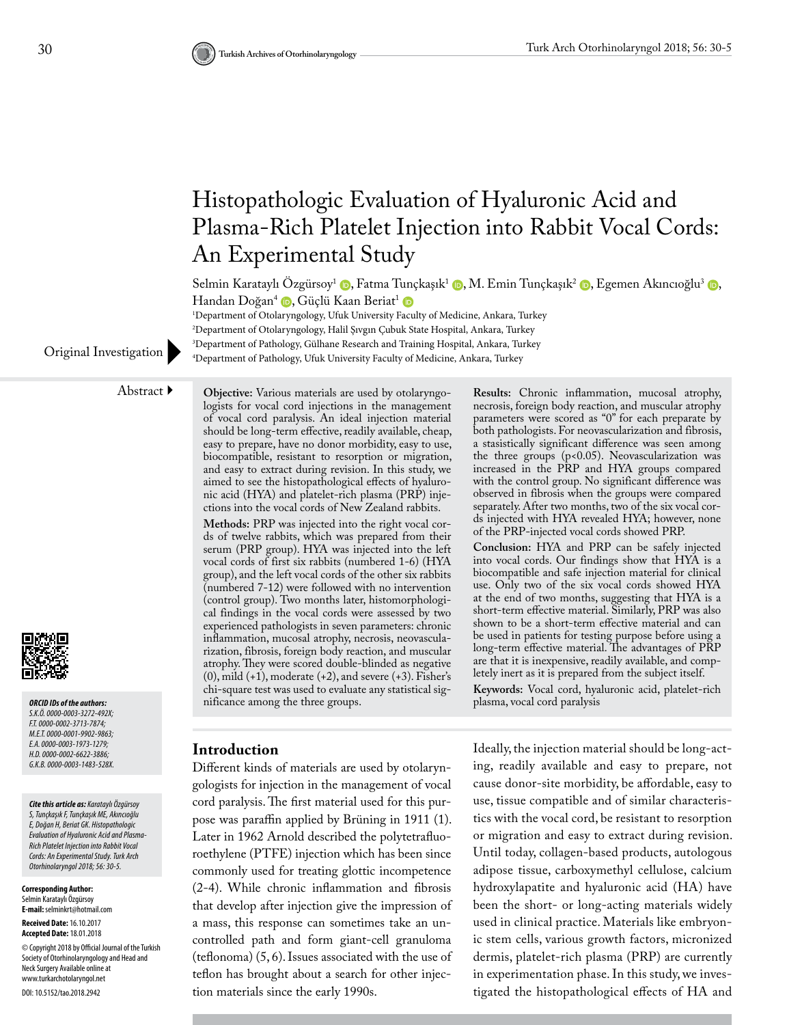# Histopathologic Evaluation of Hyaluronic Acid and Plasma-Rich Platelet Injection into Rabbit Vocal Cords: An Experimental Study

Selmin Karataylı Özgürsoy<sup>1</sup> (**b**[,](https://orcid.org/0000-0002-3713-7874) Fatma Tunçkaşık<sup>1</sup> (**b**[,](https://orcid.org/0000-0003-1973-1279) M. Emin Tunçkaşık<sup>2</sup> (**b**, Egemen Akıncıoğlu<sup>3</sup> (**b**, Handan Doğan<sup>4</sup> D[,](https://orcid.org/0000-0002-6622-3886) Güçlü Kaan Beriat<sup>1</sup> D

1 Department of Otolaryngology, Ufuk University Faculty of Medicine, Ankara, Turkey 2 Department of Otolaryngology, Halil Şıvgın Çubuk State Hospital, Ankara, Turkey

<sup>3</sup>Department of Pathology, Gülhane Research and Training Hospital, Ankara, Turkey Original Investigation Burear and Tepartment of Pathology, Gülhane Research and Training Hospital, Ankara, Turkey<br><sup>4</sup>Department of Pathology, Ufuk University Faculty of Medicine, Ankara, Turkey



*ORCID IDs of the authors: S.K.Ö. 0000-0003-3272-492X; F.T. 0000-0002-3713-7874; M.E.T. 0000-0001-9902-9863; E.A. 0000-0003-1973-1279; H.D. 0000-0002-6622-3886; G.K.B. 0000-0003-1483-528X.*

*Cite this article as: Karataylı Özgürsoy S, Tunçkaşık F, Tunçkaşık ME, Akıncıoğlu E, Doğan H, Beriat GK. Histopathologic Evaluation of Hyaluronic Acid and Plasma-*

*Rich Platelet Injection into Rabbit Vocal Cords: An Experimental Study. Turk Arch Otorhinolaryngol 2018; 56: 30-5.*

**Corresponding Author:**  Selmin Karataylı Özgürsoy **E-mail:** selminkrt@hotmail.com

**Received Date:** 16.10.2017 **Accepted Date:** 18.01.2018 © Copyright 2018 by Official Journal of the Turkish Society of Otorhinolaryngology and Head and Neck Surgery Available online at www.turkarchotolaryngol.net DOI: 10.5152/tao.2018.2942

Abstract **Objective:** Various materials are used by otolaryngologists for vocal cord injections in the management of vocal cord paralysis. An ideal injection material should be long-term effective, readily available, cheap, easy to prepare, have no donor morbidity, easy to use, biocompatible, resistant to resorption or migration, and easy to extract during revision. In this study, we aimed to see the histopathological effects of hyaluronic acid (HYA) and platelet-rich plasma (PRP) injections into the vocal cords of New Zealand rabbits.

> **Methods:** PRP was injected into the right vocal cords of twelve rabbits, which was prepared from their serum (PRP group). HYA was injected into the left vocal cords of first six rabbits (numbered 1-6) (HYA group), and the left vocal cords of the other six rabbits (numbered 7-12) were followed with no intervention (control group). Two months later, histomorphological findings in the vocal cords were assessed by two experienced pathologists in seven parameters: chronic inflammation, mucosal atrophy, necrosis, neovascularization, fibrosis, foreign body reaction, and muscular atrophy. They were scored double-blinded as negative  $(0)$ , mild  $(+1)$ , moderate  $(+2)$ , and severe  $(+3)$ . Fisher's chi-square test was used to evaluate any statistical significance among the three groups.

at the end of two months, suggesting that HYA is a short-term effective material. Similarly, PRP was also shown to be a short-term effective material and can be used in patients for testing purpose before using a long-term effective material. The advantages of PRP are that it is inexpensive, readily available, and completely inert as it is prepared from the subject itself.

**Keywords:** Vocal cord, hyaluronic acid, platelet-rich plasma, vocal cord paralysis

**Results:** Chronic inflammation, mucosal atrophy, necrosis, foreign body reaction, and muscular atrophy parameters were scored as "0" for each preparate by both pathologists. For neovascularization and fibrosis, a stasistically significant difference was seen among the three groups (p<0.05). Neovascularization was increased in the PRP and HYA groups compared with the control group. No significant difference was observed in fibrosis when the groups were compared separately. After two months, two of the six vocal cords injected with HYA revealed HYA; however, none of the PRP-injected vocal cords showed PRP. **Conclusion:** HYA and PRP can be safely injected into vocal cords. Our findings show that HYA is a biocompatible and safe injection material for clinical use. Only two of the six vocal cords showed HYA

#### **Introduction**

Different kinds of materials are used by otolaryngologists for injection in the management of vocal cord paralysis. The first material used for this purpose was paraffin applied by Brüning in 1911 (1). Later in 1962 Arnold described the polytetrafluoroethylene (PTFE) injection which has been since commonly used for treating glottic incompetence (2-4). While chronic inflammation and fibrosis that develop after injection give the impression of a mass, this response can sometimes take an uncontrolled path and form giant-cell granuloma (teflonoma) (5, 6). Issues associated with the use of teflon has brought about a search for other injection materials since the early 1990s.

Ideally, the injection material should be long-acting, readily available and easy to prepare, not cause donor-site morbidity, be affordable, easy to use, tissue compatible and of similar characteristics with the vocal cord, be resistant to resorption or migration and easy to extract during revision. Until today, collagen-based products, autologous adipose tissue, carboxymethyl cellulose, calcium hydroxylapatite and hyaluronic acid (HA) have been the short- or long-acting materials widely used in clinical practice. Materials like embryonic stem cells, various growth factors, micronized dermis, platelet-rich plasma (PRP) are currently in experimentation phase. In this study, we investigated the histopathological effects of HA and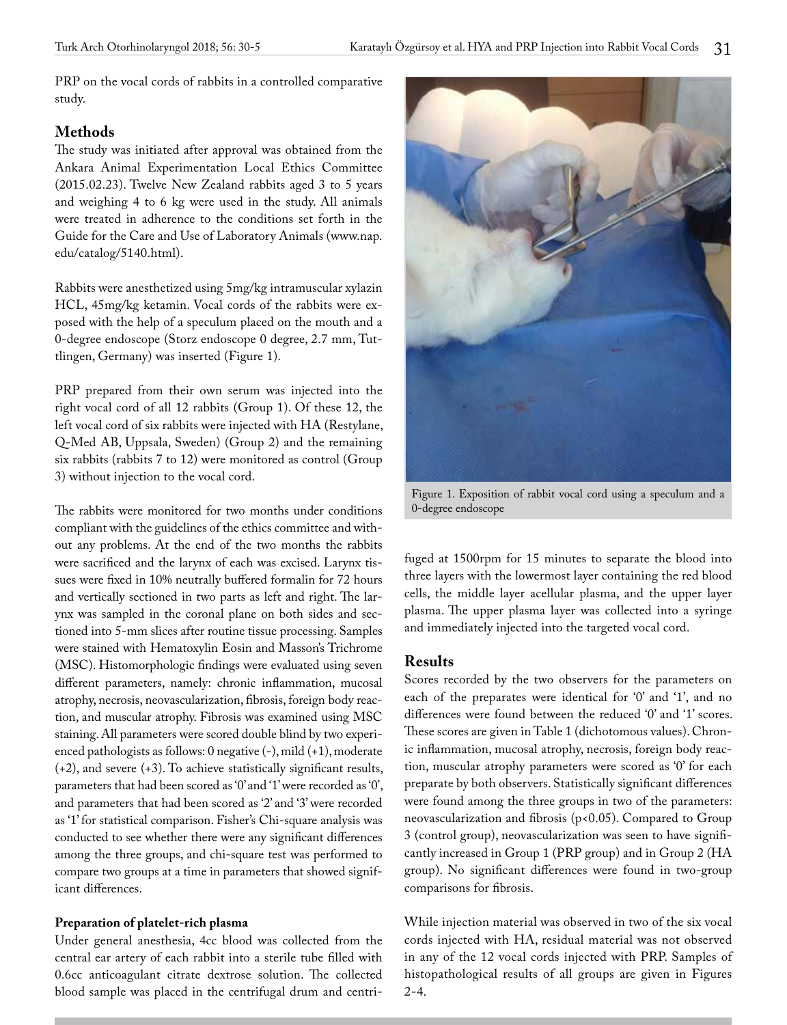PRP on the vocal cords of rabbits in a controlled comparative study.

# **Methods**

The study was initiated after approval was obtained from the Ankara Animal Experimentation Local Ethics Committee (2015.02.23). Twelve New Zealand rabbits aged 3 to 5 years and weighing 4 to 6 kg were used in the study. All animals were treated in adherence to the conditions set forth in the Guide for the Care and Use of Laboratory Animals (www.nap. edu/catalog/5140.html).

Rabbits were anesthetized using 5mg/kg intramuscular xylazin HCL, 45mg/kg ketamin. Vocal cords of the rabbits were exposed with the help of a speculum placed on the mouth and a 0-degree endoscope (Storz endoscope 0 degree, 2.7 mm, Tuttlingen, Germany) was inserted (Figure 1).

PRP prepared from their own serum was injected into the right vocal cord of all 12 rabbits (Group 1). Of these 12, the left vocal cord of six rabbits were injected with HA (Restylane, Q-Med AB, Uppsala, Sweden) (Group 2) and the remaining six rabbits (rabbits 7 to 12) were monitored as control (Group 3) without injection to the vocal cord.

The rabbits were monitored for two months under conditions compliant with the guidelines of the ethics committee and without any problems. At the end of the two months the rabbits were sacrificed and the larynx of each was excised. Larynx tissues were fixed in 10% neutrally buffered formalin for 72 hours and vertically sectioned in two parts as left and right. The larynx was sampled in the coronal plane on both sides and sectioned into 5-mm slices after routine tissue processing. Samples were stained with Hematoxylin Eosin and Masson's Trichrome (MSC). Histomorphologic findings were evaluated using seven different parameters, namely: chronic inflammation, mucosal atrophy, necrosis, neovascularization, fibrosis, foreign body reaction, and muscular atrophy. Fibrosis was examined using MSC staining. All parameters were scored double blind by two experienced pathologists as follows: 0 negative (-), mild (+1), moderate (+2), and severe (+3). To achieve statistically significant results, parameters that had been scored as '0' and '1' were recorded as '0', and parameters that had been scored as '2' and '3' were recorded as '1' for statistical comparison. Fisher's Chi-square analysis was conducted to see whether there were any significant differences among the three groups, and chi-square test was performed to compare two groups at a time in parameters that showed significant differences.

#### **Preparation of platelet-rich plasma**

Under general anesthesia, 4cc blood was collected from the central ear artery of each rabbit into a sterile tube filled with 0.6cc anticoagulant citrate dextrose solution. The collected blood sample was placed in the centrifugal drum and centri-



Figure 1. Exposition of rabbit vocal cord using a speculum and a 0-degree endoscope

fuged at 1500rpm for 15 minutes to separate the blood into three layers with the lowermost layer containing the red blood cells, the middle layer acellular plasma, and the upper layer plasma. The upper plasma layer was collected into a syringe and immediately injected into the targeted vocal cord.

#### **Results**

Scores recorded by the two observers for the parameters on each of the preparates were identical for '0' and '1', and no differences were found between the reduced '0' and '1' scores. These scores are given in Table 1 (dichotomous values). Chronic inflammation, mucosal atrophy, necrosis, foreign body reaction, muscular atrophy parameters were scored as '0' for each preparate by both observers. Statistically significant differences were found among the three groups in two of the parameters: neovascularization and fibrosis (p<0.05). Compared to Group 3 (control group), neovascularization was seen to have significantly increased in Group 1 (PRP group) and in Group 2 (HA group). No significant differences were found in two-group comparisons for fibrosis.

While injection material was observed in two of the six vocal cords injected with HA, residual material was not observed in any of the 12 vocal cords injected with PRP. Samples of histopathological results of all groups are given in Figures  $2 - 4.$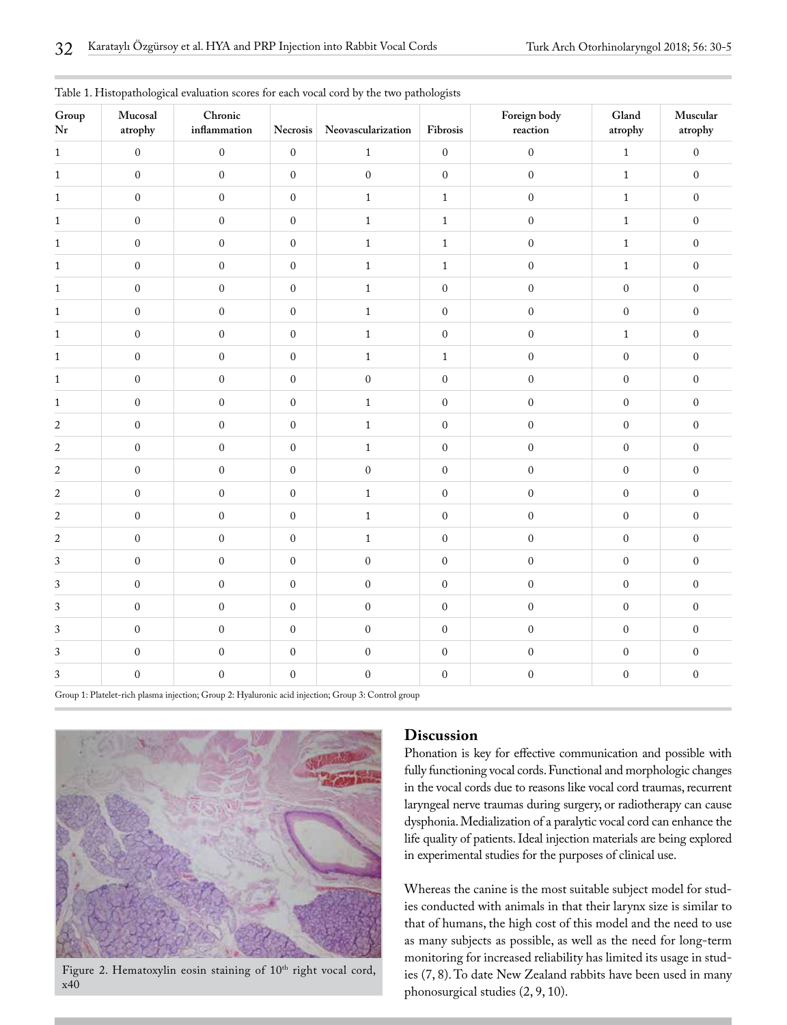| $\operatorname{Group}$<br>$\bf{Nr}$ | Mucosal<br>atrophy | Chronic<br>inflammation | Necrosis         | Neovascularization | Fibrosis         | Foreign body<br>$\,$ reaction | Gland<br>atrophy | Muscular<br>atrophy |
|-------------------------------------|--------------------|-------------------------|------------------|--------------------|------------------|-------------------------------|------------------|---------------------|
| $\mathbf{1}$                        | $\boldsymbol{0}$   | $\boldsymbol{0}$        | $\boldsymbol{0}$ | $\,1\,$            | $\boldsymbol{0}$ | $\boldsymbol{0}$              | $\mathbf 1$      | $\boldsymbol{0}$    |
| $\mathbf{1}$                        | $\boldsymbol{0}$   | $\mathbf{0}$            | $\boldsymbol{0}$ | $\mathbf{0}$       | $\boldsymbol{0}$ | $\mathbf{0}$                  | $\mathbf{1}$     | $\mathbf{0}$        |
| $\mathbf{1}$                        | $\boldsymbol{0}$   | $\mathbf{0}$            | $\boldsymbol{0}$ | $\mathbf{1}$       | $\mathbf{1}$     | $\boldsymbol{0}$              | $\mathbf{1}$     | $\mathbf{0}$        |
| $\mathbf{1}$                        | $\boldsymbol{0}$   | $\boldsymbol{0}$        | $\boldsymbol{0}$ | $\,1\,$            | $\,1\,$          | $\boldsymbol{0}$              | $\,1$            | $\boldsymbol{0}$    |
| $1\,$                               | $\boldsymbol{0}$   | $\boldsymbol{0}$        | $\boldsymbol{0}$ | $\,1\,$            | $\,1\,$          | $\boldsymbol{0}$              | $\mathbf 1$      | $\boldsymbol{0}$    |
| $\mathbf{1}$                        | $\boldsymbol{0}$   | $\boldsymbol{0}$        | $\boldsymbol{0}$ | $\mathbf{1}$       | $\mathbf{1}$     | $\boldsymbol{0}$              | $\mathbf{1}$     | $\boldsymbol{0}$    |
| $\mathbf{1}$                        | $\boldsymbol{0}$   | $\boldsymbol{0}$        | $\boldsymbol{0}$ | $\mathbf{1}$       | $\mathbf{0}$     | $\boldsymbol{0}$              | $\overline{0}$   | $\boldsymbol{0}$    |
| $\mathbf{1}$                        | $\boldsymbol{0}$   | $\boldsymbol{0}$        | $\boldsymbol{0}$ | $\,1\,$            | $\boldsymbol{0}$ | $\boldsymbol{0}$              | $\boldsymbol{0}$ | $\boldsymbol{0}$    |
| $\mathbf 1$                         | $\boldsymbol{0}$   | $\boldsymbol{0}$        | $\boldsymbol{0}$ | $\,1\,$            | $\boldsymbol{0}$ | $\boldsymbol{0}$              | $\,1\,$          | $\boldsymbol{0}$    |
| $\mathbf{1}$                        | $\boldsymbol{0}$   | $\boldsymbol{0}$        | $\boldsymbol{0}$ | $\mathbf{1}$       | $\mathbf{1}$     | $\boldsymbol{0}$              | $\boldsymbol{0}$ | $\mathbf{0}$        |
| $\mathbf{1}$                        | $\boldsymbol{0}$   | $\boldsymbol{0}$        | $\boldsymbol{0}$ | $\boldsymbol{0}$   | $\boldsymbol{0}$ | $\boldsymbol{0}$              | $\overline{0}$   | $\boldsymbol{0}$    |
| $\mathbf{1}$                        | $\boldsymbol{0}$   | $\boldsymbol{0}$        | $\boldsymbol{0}$ | $\,1\,$            | $\boldsymbol{0}$ | $\boldsymbol{0}$              | $\boldsymbol{0}$ | $\boldsymbol{0}$    |
| $\sqrt{2}$                          | $\boldsymbol{0}$   | $\boldsymbol{0}$        | $\boldsymbol{0}$ | $\mathbf{1}$       | $\mathbf{0}$     | $\boldsymbol{0}$              | $\boldsymbol{0}$ | $\boldsymbol{0}$    |
| $\overline{c}$                      | $\boldsymbol{0}$   | $\boldsymbol{0}$        | $\boldsymbol{0}$ | $\,1\,$            | $\mathbf{0}$     | $\boldsymbol{0}$              | $\boldsymbol{0}$ | $\mathbf{0}$        |
| $\sqrt{2}$                          | $\mathbf{0}$       | $\boldsymbol{0}$        | $\boldsymbol{0}$ | $\boldsymbol{0}$   | $\boldsymbol{0}$ | $\mathbf{0}$                  | $\boldsymbol{0}$ | $\mathbf{0}$        |
| $\sqrt{2}$                          | $\boldsymbol{0}$   | $\boldsymbol{0}$        | $\boldsymbol{0}$ | $\,1\,$            | $\boldsymbol{0}$ | $\boldsymbol{0}$              | $\boldsymbol{0}$ | $\boldsymbol{0}$    |
| $\sqrt{2}$                          | $\boldsymbol{0}$   | $\boldsymbol{0}$        | $\boldsymbol{0}$ | $\mathbf{1}$       | $\boldsymbol{0}$ | $\boldsymbol{0}$              | $\overline{0}$   | $\boldsymbol{0}$    |
| $\sqrt{2}$                          | $\boldsymbol{0}$   | $\boldsymbol{0}$        | $\boldsymbol{0}$ | $1\,$              | $\boldsymbol{0}$ | $\boldsymbol{0}$              | $\boldsymbol{0}$ | $\boldsymbol{0}$    |
| $\ensuremath{\mathfrak{Z}}$         | $\mathbf{0}$       | $\boldsymbol{0}$        | $\boldsymbol{0}$ | $\boldsymbol{0}$   | $\mathbf{0}$     | $\boldsymbol{0}$              | $\mathbf{0}$     | $\boldsymbol{0}$    |
| $\sqrt{3}$                          | $\boldsymbol{0}$   | $\boldsymbol{0}$        | $\boldsymbol{0}$ | $\boldsymbol{0}$   | $\mathbf{0}$     | $\boldsymbol{0}$              | $\boldsymbol{0}$ | $\boldsymbol{0}$    |
| $\ensuremath{\mathfrak{Z}}$         | $\boldsymbol{0}$   | $\boldsymbol{0}$        | $\boldsymbol{0}$ | $\boldsymbol{0}$   | $\boldsymbol{0}$ | $\boldsymbol{0}$              | $\boldsymbol{0}$ | $\boldsymbol{0}$    |
| 3                                   | $\mathbf{0}$       | $\boldsymbol{0}$        | $\boldsymbol{0}$ | $\boldsymbol{0}$   | $\mathbf{0}$     | $\boldsymbol{0}$              | $\boldsymbol{0}$ | $\mathbf{0}$        |
| 3                                   | $\boldsymbol{0}$   | $\boldsymbol{0}$        | $\boldsymbol{0}$ | $\boldsymbol{0}$   | $\mathbf{0}$     | $\boldsymbol{0}$              | $\boldsymbol{0}$ | $\mathbf{0}$        |
| 3                                   | $\boldsymbol{0}$   | $\boldsymbol{0}$        | $\boldsymbol{0}$ | $\boldsymbol{0}$   | $\mathbf{0}$     | $\boldsymbol{0}$              | $\overline{0}$   | $\boldsymbol{0}$    |

Table 1. Histopathological evaluation scores for each vocal cord by the two pathologists

Group 1: Platelet-rich plasma injection; Group 2: Hyaluronic acid injection; Group 3: Control group



Figure 2. Hematoxylin eosin staining of 10<sup>th</sup> right vocal cord, x40

## **Discussion**

Phonation is key for effective communication and possible with fully functioning vocal cords. Functional and morphologic changes in the vocal cords due to reasons like vocal cord traumas, recurrent laryngeal nerve traumas during surgery, or radiotherapy can cause dysphonia. Medialization of a paralytic vocal cord can enhance the life quality of patients. Ideal injection materials are being explored in experimental studies for the purposes of clinical use.

Whereas the canine is the most suitable subject model for studies conducted with animals in that their larynx size is similar to that of humans, the high cost of this model and the need to use as many subjects as possible, as well as the need for long-term monitoring for increased reliability has limited its usage in studies (7, 8). To date New Zealand rabbits have been used in many phonosurgical studies (2, 9, 10).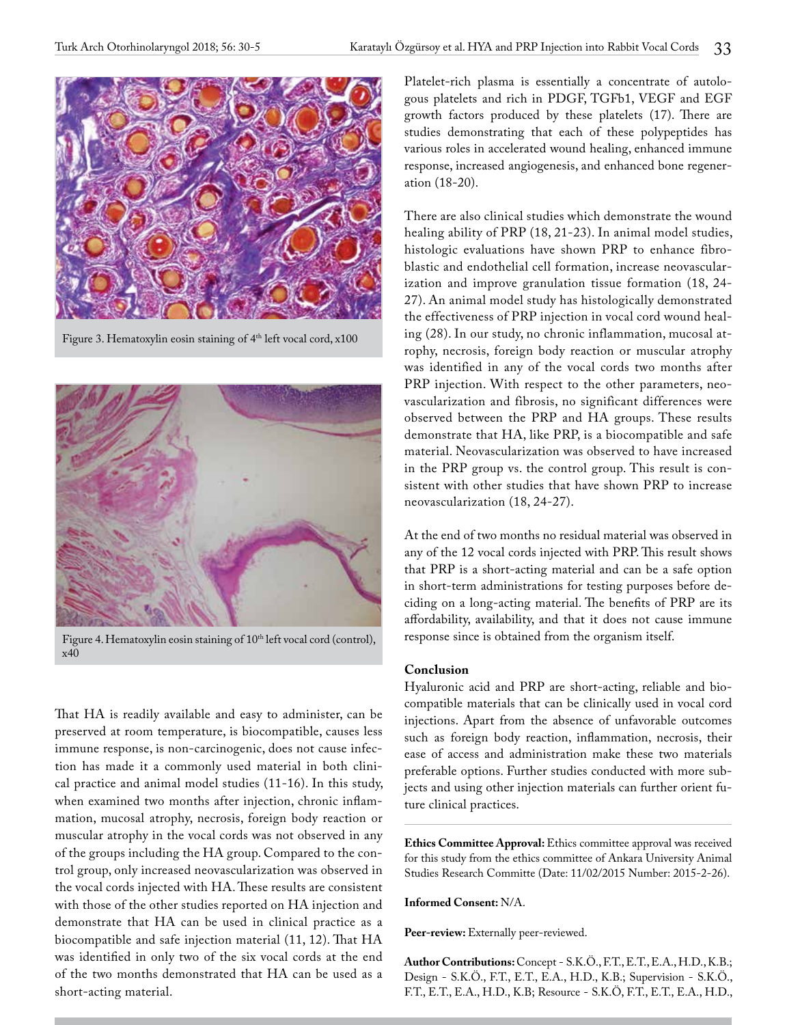

Figure 3. Hematoxylin eosin staining of  $4<sup>th</sup>$  left vocal cord, x100



Figure 4. Hematoxylin eosin staining of 10<sup>th</sup> left vocal cord (control), x40

That HA is readily available and easy to administer, can be preserved at room temperature, is biocompatible, causes less immune response, is non-carcinogenic, does not cause infection has made it a commonly used material in both clinical practice and animal model studies (11-16). In this study, when examined two months after injection, chronic inflammation, mucosal atrophy, necrosis, foreign body reaction or muscular atrophy in the vocal cords was not observed in any of the groups including the HA group. Compared to the control group, only increased neovascularization was observed in the vocal cords injected with HA. These results are consistent with those of the other studies reported on HA injection and demonstrate that HA can be used in clinical practice as a biocompatible and safe injection material (11, 12). That HA was identified in only two of the six vocal cords at the end of the two months demonstrated that HA can be used as a short-acting material.

Platelet-rich plasma is essentially a concentrate of autologous platelets and rich in PDGF, TGFb1, VEGF and EGF growth factors produced by these platelets (17). There are studies demonstrating that each of these polypeptides has various roles in accelerated wound healing, enhanced immune response, increased angiogenesis, and enhanced bone regeneration (18-20).

There are also clinical studies which demonstrate the wound healing ability of PRP (18, 21-23). In animal model studies, histologic evaluations have shown PRP to enhance fibroblastic and endothelial cell formation, increase neovascularization and improve granulation tissue formation (18, 24- 27). An animal model study has histologically demonstrated the effectiveness of PRP injection in vocal cord wound healing (28). In our study, no chronic inflammation, mucosal atrophy, necrosis, foreign body reaction or muscular atrophy was identified in any of the vocal cords two months after PRP injection. With respect to the other parameters, neovascularization and fibrosis, no significant differences were observed between the PRP and HA groups. These results demonstrate that HA, like PRP, is a biocompatible and safe material. Neovascularization was observed to have increased in the PRP group vs. the control group. This result is consistent with other studies that have shown PRP to increase neovascularization (18, 24-27).

At the end of two months no residual material was observed in any of the 12 vocal cords injected with PRP. This result shows that PRP is a short-acting material and can be a safe option in short-term administrations for testing purposes before deciding on a long-acting material. The benefits of PRP are its affordability, availability, and that it does not cause immune response since is obtained from the organism itself.

#### **Conclusion**

Hyaluronic acid and PRP are short-acting, reliable and biocompatible materials that can be clinically used in vocal cord injections. Apart from the absence of unfavorable outcomes such as foreign body reaction, inflammation, necrosis, their ease of access and administration make these two materials preferable options. Further studies conducted with more subjects and using other injection materials can further orient future clinical practices.

**Ethics Committee Approval:** Ethics committee approval was received for this study from the ethics committee of Ankara University Animal Studies Research Committe (Date: 11/02/2015 Number: 2015-2-26).

#### **Informed Consent:** N/A.

Peer-review: Externally peer-reviewed.

**Author Contributions:** Concept - S.K.Ö., F.T., E.T., E.A., H.D., K.B.; Design - S.K.Ö., F.T., E.T., E.A., H.D., K.B.; Supervision - S.K.Ö., F.T., E.T., E.A., H.D., K.B; Resource - S.K.Ö, F.T., E.T., E.A., H.D.,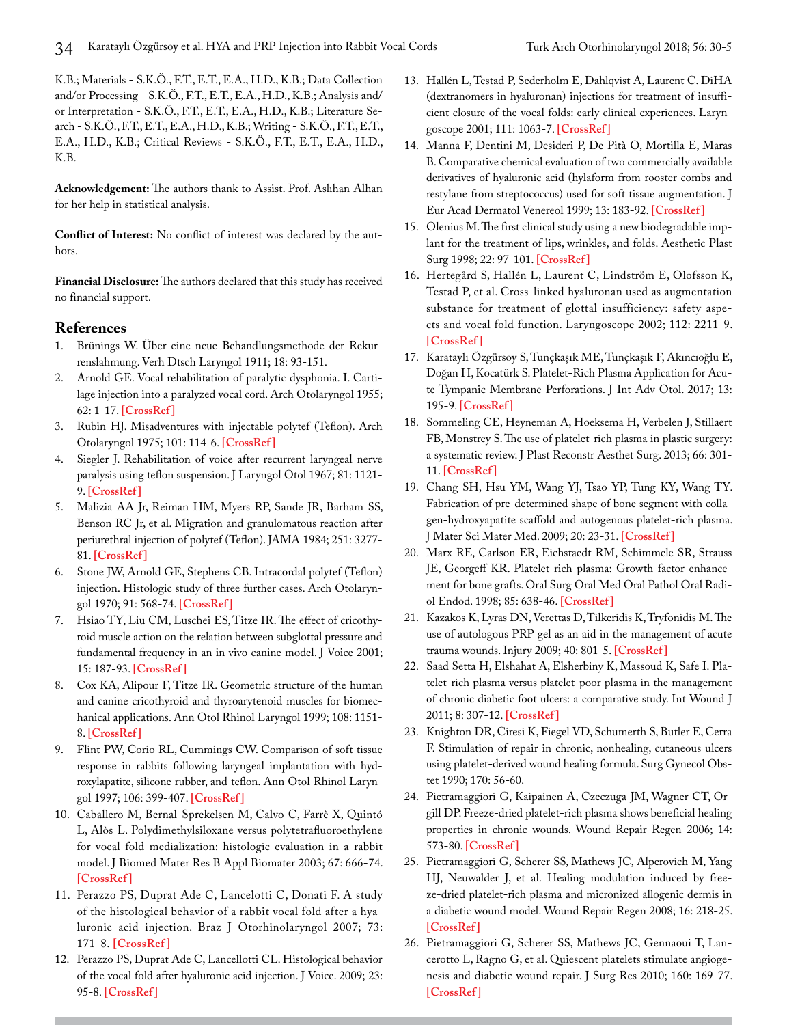K.B.; Materials - S.K.Ö., F.T., E.T., E.A., H.D., K.B.; Data Collection and/or Processing - S.K.Ö., F.T., E.T., E.A., H.D., K.B.; Analysis and/ or Interpretation - S.K.Ö., F.T., E.T., E.A., H.D., K.B.; Literature Search - S.K.Ö., F.T., E.T., E.A., H.D., K.B.; Writing - S.K.Ö., F.T., E.T., E.A., H.D., K.B.; Critical Reviews - S.K.Ö., F.T., E.T., E.A., H.D., K.B.

**Acknowledgement:** The authors thank to Assist. Prof. Aslıhan Alhan for her help in statistical analysis.

**Conflict of Interest:** No conflict of interest was declared by the authors.

**Financial Disclosure:** The authors declared that this study has received no financial support.

## **References**

- 1. Brünings W. Über eine neue Behandlungsmethode der Rekurrenslahmung. Verh Dtsch Laryngol 1911; 18: 93-151.
- 2. Arnold GE. Vocal rehabilitation of paralytic dysphonia. I. Cartilage injection into a paralyzed vocal cord. Arch Otolaryngol 1955; 62: 1-17. **[\[CrossRef \]](https://doi.org/10.1001/archotol.1955.03830010003001)**
- 3. Rubin HJ. Misadventures with injectable polytef (Teflon). Arch Otolaryngol 1975; 101: 114-6. **[\[CrossRef \]](https://doi.org/10.1001/archotol.1975.00780310036010)**
- 4. Siegler J. Rehabilitation of voice after recurrent laryngeal nerve paralysis using teflon suspension. J Laryngol Otol 1967; 81: 1121- 9. **[\[CrossRef \]](https://doi.org/10.1017/S0022215100068134)**
- 5. Malizia AA Jr, Reiman HM, Myers RP, Sande JR, Barham SS, Benson RC Jr, et al. Migration and granulomatous reaction after periurethral injection of polytef (Teflon). JAMA 1984; 251: 3277- 81. **[\[CrossRef \]](https://doi.org/10.1001/jama.251.24.3277)**
- 6. Stone JW, Arnold GE, Stephens CB. Intracordal polytef (Teflon) injection. Histologic study of three further cases. Arch Otolaryngol 1970; 91: 568-74. **[\[CrossRef \]](https://doi.org/10.1001/archotol.1970.00770040798014)**
- 7. Hsiao TY, Liu CM, Luschei ES, Titze IR. The effect of cricothyroid muscle action on the relation between subglottal pressure and fundamental frequency in an in vivo canine model. J Voice 2001; 15: 187-93. **[\[CrossRef \]](https://doi.org/10.1016/S0892-1997(01)00020-0)**
- 8. Cox KA, Alipour F, Titze IR. Geometric structure of the human and canine cricothyroid and thyroarytenoid muscles for biomechanical applications. Ann Otol Rhinol Laryngol 1999; 108: 1151- 8. **[\[CrossRef \]](https://doi.org/10.1177/000348949910801210)**
- 9. Flint PW, Corio RL, Cummings CW. Comparison of soft tissue response in rabbits following laryngeal implantation with hydroxylapatite, silicone rubber, and teflon. Ann Otol Rhinol Laryngol 1997; 106: 399-407. **[\[CrossRef \]](https://doi.org/10.1177/000348949710600508)**
- 10. Caballero M, Bernal-Sprekelsen M, Calvo C, Farrè X, Quintó L, Alòs L. Polydimethylsiloxane versus polytetrafluoroethylene for vocal fold medialization: histologic evaluation in a rabbit model. J Biomed Mater Res B Appl Biomater 2003; 67: 666-74. **[\[CrossRef \]](https://doi.org/10.1002/jbm.b.10061)**
- 11. Perazzo PS, Duprat Ade C, Lancelotti C, Donati F. A study of the histological behavior of a rabbit vocal fold after a hyaluronic acid injection. Braz J Otorhinolaryngol 2007; 73: 171-8. **[\[CrossRef \]](https://doi.org/10.1016/S1808-8694(15)31063-6)**
- 12. Perazzo PS, Duprat Ade C, Lancellotti CL. Histological behavior of the vocal fold after hyaluronic acid injection. J Voice. 2009; 23: 95-8. **[\[CrossRef \]](https://doi.org/10.1016/j.jvoice.2007.05.006)**
- 13. Hallén L, Testad P, Sederholm E, Dahlqvist A, Laurent C. DiHA (dextranomers in hyaluronan) injections for treatment of insufficient closure of the vocal folds: early clinical experiences. Laryngoscope 2001; 111: 1063-7. **[\[CrossRef \]](https://doi.org/10.1097/00005537-200106000-00025)**
- 14. Manna F, Dentini M, Desideri P, De Pità O, Mortilla E, Maras B. Comparative chemical evaluation of two commercially available derivatives of hyaluronic acid (hylaform from rooster combs and restylane from streptococcus) used for soft tissue augmentation. J Eur Acad Dermatol Venereol 1999; 13: 183-92. **[\[CrossRef \]](https://doi.org/10.1111/j.1468-3083.1999.tb00881.x)**
- 15. Olenius M. The first clinical study using a new biodegradable implant for the treatment of lips, wrinkles, and folds. Aesthetic Plast Surg 1998; 22: 97-101. **[\[CrossRef \]](https://doi.org/10.1007/s002669900172)**
- 16. Hertegård S, Hallén L, Laurent C, Lindström E, Olofsson K, Testad P, et al. Cross-linked hyaluronan used as augmentation substance for treatment of glottal insufficiency: safety aspects and vocal fold function. Laryngoscope 2002; 112: 2211-9. **[\[CrossRef \]](https://doi.org/10.1097/00005537-200212000-00016)**
- 17. Karataylı Özgürsoy S, Tunçkaşık ME, Tunçkaşık F, Akıncıoğlu E, Doğan H, Kocatürk S. Platelet-Rich Plasma Application for Acute Tympanic Membrane Perforations. J Int Adv Otol. 2017; 13: 195-9. **[\[CrossRef \]](https://doi.org/10.5152/iao.2016.2533)**
- 18. Sommeling CE, Heyneman A, Hoeksema H, Verbelen J, Stillaert FB, Monstrey S. The use of platelet-rich plasma in plastic surgery: a systematic review. J Plast Reconstr Aesthet Surg. 2013; 66: 301- 11. **[\[CrossRef \]](https://doi.org/10.1016/j.bjps.2012.11.009)**
- 19. Chang SH, Hsu YM, Wang YJ, Tsao YP, Tung KY, Wang TY. Fabrication of pre-determined shape of bone segment with collagen-hydroxyapatite scaffold and autogenous platelet-rich plasma. J Mater Sci Mater Med. 2009; 20: 23-31. **[\[CrossRef \]](https://doi.org/10.1007/s10856-008-3507-1)**
- 20. Marx RE, Carlson ER, Eichstaedt RM, Schimmele SR, Strauss JE, Georgeff KR. Platelet-rich plasma: Growth factor enhancement for bone grafts. Oral Surg Oral Med Oral Pathol Oral Radiol Endod. 1998; 85: 638-46. **[\[CrossRef \]](https://doi.org/10.1016/S1079-2104(98)90029-4)**
- 21. Kazakos K, Lyras DN, Verettas D, Tilkeridis K, Tryfonidis M. The use of autologous PRP gel as an aid in the management of acute trauma wounds. Injury 2009; 40: 801-5. **[\[CrossRef \]](https://doi.org/10.1016/j.injury.2008.05.002)**
- 22. Saad Setta H, Elshahat A, Elsherbiny K, Massoud K, Safe I. Platelet-rich plasma versus platelet-poor plasma in the management of chronic diabetic foot ulcers: a comparative study. Int Wound J 2011; 8: 307-12. **[\[CrossRef \]](https://doi.org/10.1111/j.1742-481X.2011.00797.x)**
- 23. Knighton DR, Ciresi K, Fiegel VD, Schumerth S, Butler E, Cerra F. Stimulation of repair in chronic, nonhealing, cutaneous ulcers using platelet-derived wound healing formula. Surg Gynecol Obstet 1990; 170: 56-60.
- 24. Pietramaggiori G, Kaipainen A, Czeczuga JM, Wagner CT, Orgill DP. Freeze-dried platelet-rich plasma shows beneficial healing properties in chronic wounds. Wound Repair Regen 2006; 14: 573-80. **[\[CrossRef \]](https://doi.org/10.1111/j.1743-6109.2006.00164.x)**
- 25. Pietramaggiori G, Scherer SS, Mathews JC, Alperovich M, Yang HJ, Neuwalder J, et al. Healing modulation induced by freeze-dried platelet-rich plasma and micronized allogenic dermis in a diabetic wound model. Wound Repair Regen 2008; 16: 218-25. **[\[CrossRef \]](https://doi.org/10.1111/j.1524-475X.2008.00362.x)**
- 26. Pietramaggiori G, Scherer SS, Mathews JC, Gennaoui T, Lancerotto L, Ragno G, et al. Quiescent platelets stimulate angiogenesis and diabetic wound repair. J Surg Res 2010; 160: 169-77. **[\[CrossRef \]](https://doi.org/10.1016/j.jss.2008.09.010)**